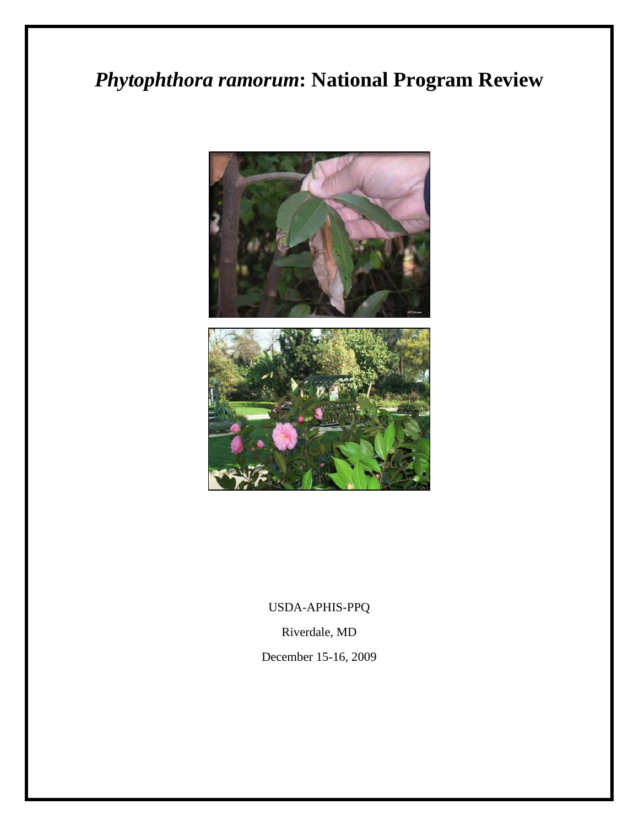# *Phytophthora ramorum***: National Program Review**



USDA-APHIS-PPQ

Riverdale, MD

December 15-16, 2009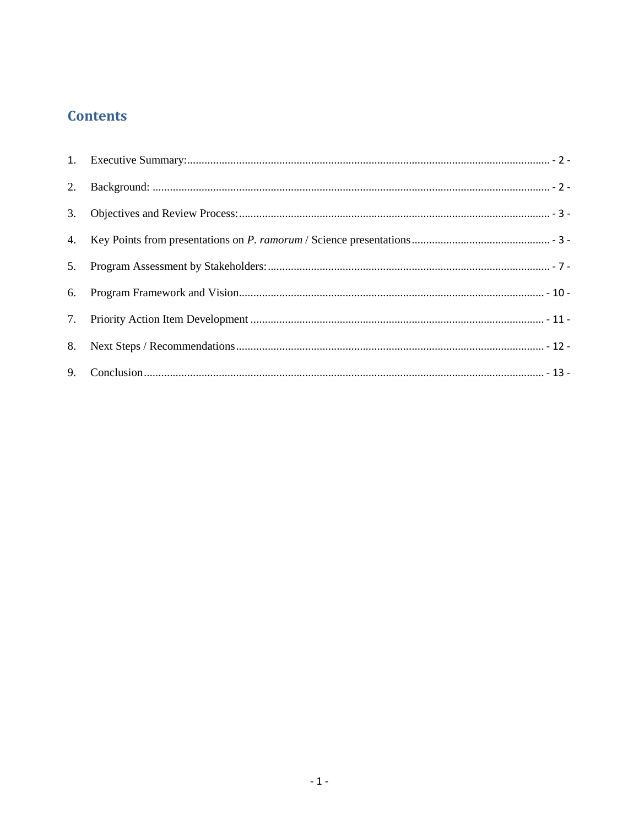# **Contents**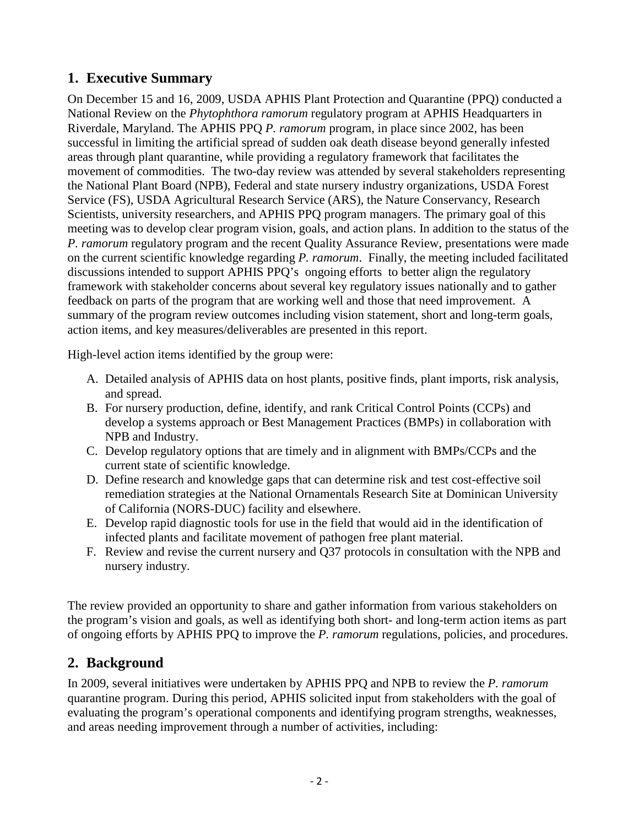# <span id="page-2-0"></span>**1. Executive Summary**

On December 15 and 16, 2009, USDA APHIS Plant Protection and Quarantine (PPQ) conducted a National Review on the *Phytophthora ramorum* regulatory program at APHIS Headquarters in Riverdale, Maryland. The APHIS PPQ *P. ramorum* program, in place since 2002, has been successful in limiting the artificial spread of sudden oak death disease beyond generally infested areas through plant quarantine, while providing a regulatory framework that facilitates the movement of commodities. The two-day review was attended by several stakeholders representing the National Plant Board (NPB), Federal and state nursery industry organizations, USDA Forest Service (FS), USDA Agricultural Research Service (ARS), the Nature Conservancy, Research Scientists, university researchers, and APHIS PPQ program managers. The primary goal of this meeting was to develop clear program vision, goals, and action plans. In addition to the status of the *P. ramorum* regulatory program and the recent Quality Assurance Review, presentations were made on the current scientific knowledge regarding *P. ramorum*. Finally, the meeting included facilitated discussions intended to support APHIS PPQ's ongoing efforts to better align the regulatory framework with stakeholder concerns about several key regulatory issues nationally and to gather feedback on parts of the program that are working well and those that need improvement. A summary of the program review outcomes including vision statement, short and long-term goals, action items, and key measures/deliverables are presented in this report.

High-level action items identified by the group were:

- A. Detailed analysis of APHIS data on host plants, positive finds, plant imports, risk analysis, and spread.
- B. For nursery production, define, identify, and rank Critical Control Points (CCPs) and develop a systems approach or Best Management Practices (BMPs) in collaboration with NPB and Industry.
- C. Develop regulatory options that are timely and in alignment with BMPs/CCPs and the current state of scientific knowledge.
- D. Define research and knowledge gaps that can determine risk and test cost-effective soil remediation strategies at the National Ornamentals Research Site at Dominican University of California (NORS-DUC) facility and elsewhere.
- E. Develop rapid diagnostic tools for use in the field that would aid in the identification of infected plants and facilitate movement of pathogen free plant material.
- F. Review and revise the current nursery and Q37 protocols in consultation with the NPB and nursery industry.

The review provided an opportunity to share and gather information from various stakeholders on the program's vision and goals, as well as identifying both short- and long-term action items as part of ongoing efforts by APHIS PPQ to improve the *P. ramorum* regulations, policies, and procedures.

# <span id="page-2-1"></span>**2. Background**

In 2009, several initiatives were undertaken by APHIS PPQ and NPB to review the *P. ramorum* quarantine program. During this period, APHIS solicited input from stakeholders with the goal of evaluating the program's operational components and identifying program strengths, weaknesses, and areas needing improvement through a number of activities, including: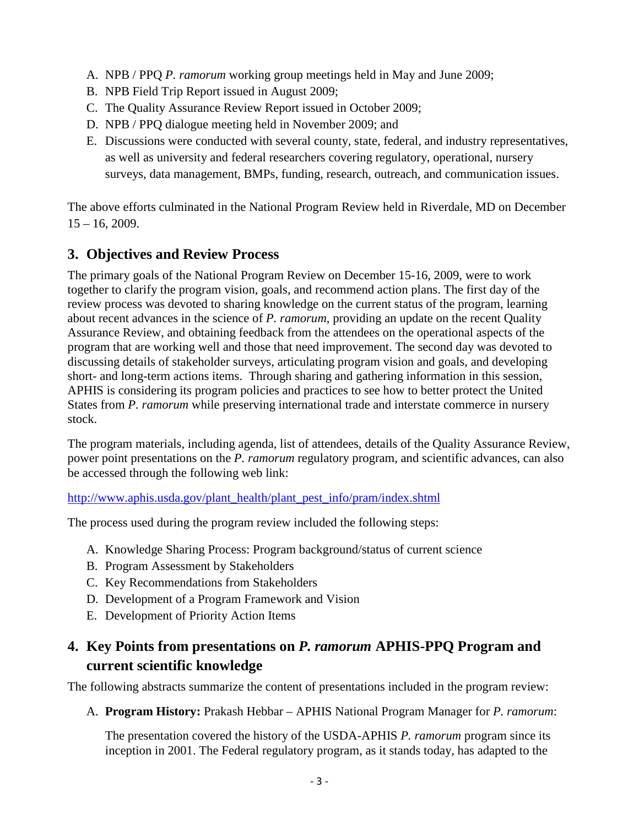- A. NPB / PPQ *P. ramorum* working group meetings held in May and June 2009;
- B. NPB Field Trip Report issued in August 2009;
- C. The Quality Assurance Review Report issued in October 2009;
- D. NPB / PPQ dialogue meeting held in November 2009; and
- E. Discussions were conducted with several county, state, federal, and industry representatives, as well as university and federal researchers covering regulatory, operational, nursery surveys, data management, BMPs, funding, research, outreach, and communication issues.

The above efforts culminated in the National Program Review held in Riverdale, MD on December  $15 - 16$ , 2009.

# <span id="page-3-0"></span>**3. Objectives and Review Process**

The primary goals of the National Program Review on December 15-16, 2009, were to work together to clarify the program vision, goals, and recommend action plans. The first day of the review process was devoted to sharing knowledge on the current status of the program, learning about recent advances in the science of *P. ramorum*, providing an update on the recent Quality Assurance Review, and obtaining feedback from the attendees on the operational aspects of the program that are working well and those that need improvement. The second day was devoted to discussing details of stakeholder surveys, articulating program vision and goals, and developing short- and long-term actions items. Through sharing and gathering information in this session, APHIS is considering its program policies and practices to see how to better protect the United States from *P. ramorum* while preserving international trade and interstate commerce in nursery stock.

The program materials, including agenda, list of attendees, details of the Quality Assurance Review, power point presentations on the *P. ramorum* regulatory program, and scientific advances, can also be accessed through the following web link:

[http://www.aphis.usda.gov/plant\\_health/plant\\_pest\\_info/pram/index.shtml](http://www.aphis.usda.gov/plant_health/plant_pest_info/pram/index.shtml)

The process used during the program review included the following steps:

- A. Knowledge Sharing Process: Program background/status of current science
- B. Program Assessment by Stakeholders
- C. Key Recommendations from Stakeholders
- D. Development of a Program Framework and Vision
- E. Development of Priority Action Items

# <span id="page-3-1"></span>**4. Key Points from presentations on** *P. ramorum* **APHIS-PPQ Program and current scientific knowledge**

The following abstracts summarize the content of presentations included in the program review:

A. **Program History:** Prakash Hebbar – APHIS National Program Manager for *P. ramorum*:

The presentation covered the history of the USDA-APHIS *P. ramorum* program since its inception in 2001. The Federal regulatory program, as it stands today, has adapted to the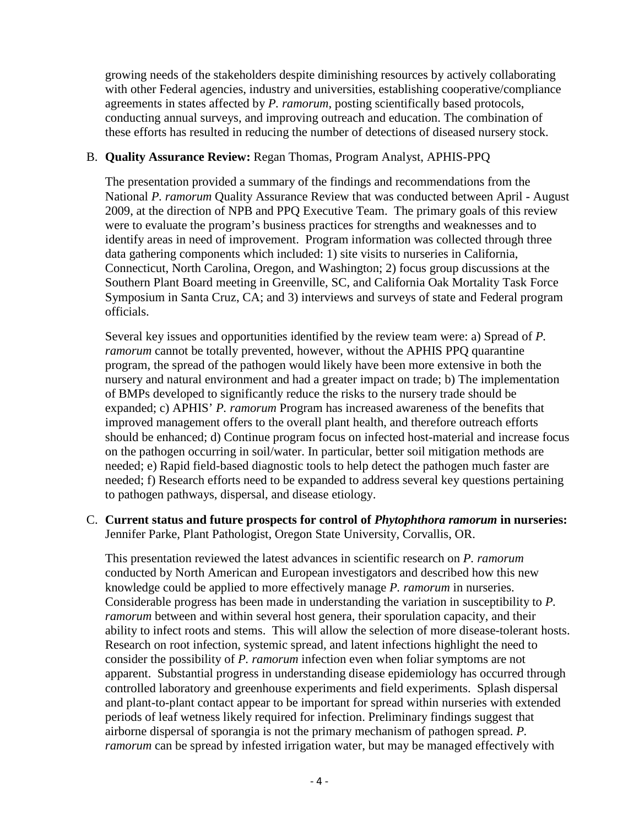growing needs of the stakeholders despite diminishing resources by actively collaborating with other Federal agencies, industry and universities, establishing cooperative/compliance agreements in states affected by *P. ramorum*, posting scientifically based protocols, conducting annual surveys, and improving outreach and education. The combination of these efforts has resulted in reducing the number of detections of diseased nursery stock.

#### B. **Quality Assurance Review:** Regan Thomas, Program Analyst, APHIS-PPQ

The presentation provided a summary of the findings and recommendations from the National *P. ramorum* Quality Assurance Review that was conducted between April - August 2009, at the direction of NPB and PPQ Executive Team. The primary goals of this review were to evaluate the program's business practices for strengths and weaknesses and to identify areas in need of improvement. Program information was collected through three data gathering components which included: 1) site visits to nurseries in California, Connecticut, North Carolina, Oregon, and Washington; 2) focus group discussions at the Southern Plant Board meeting in Greenville, SC, and California Oak Mortality Task Force Symposium in Santa Cruz, CA; and 3) interviews and surveys of state and Federal program officials.

Several key issues and opportunities identified by the review team were: a) Spread of *P. ramorum* cannot be totally prevented, however, without the APHIS PPQ quarantine program, the spread of the pathogen would likely have been more extensive in both the nursery and natural environment and had a greater impact on trade; b) The implementation of BMPs developed to significantly reduce the risks to the nursery trade should be expanded; c) APHIS' *P. ramorum* Program has increased awareness of the benefits that improved management offers to the overall plant health, and therefore outreach efforts should be enhanced; d) Continue program focus on infected host-material and increase focus on the pathogen occurring in soil/water. In particular, better soil mitigation methods are needed; e) Rapid field-based diagnostic tools to help detect the pathogen much faster are needed; f) Research efforts need to be expanded to address several key questions pertaining to pathogen pathways, dispersal, and disease etiology.

C. **Current status and future prospects for control of** *Phytophthora ramorum* **in nurseries:** Jennifer Parke, Plant Pathologist, Oregon State University, Corvallis, OR.

This presentation reviewed the latest advances in scientific research on *P. ramorum* conducted by North American and European investigators and described how this new knowledge could be applied to more effectively manage *P. ramorum* in nurseries. Considerable progress has been made in understanding the variation in susceptibility to *P. ramorum* between and within several host genera, their sporulation capacity, and their ability to infect roots and stems. This will allow the selection of more disease-tolerant hosts. Research on root infection, systemic spread, and latent infections highlight the need to consider the possibility of *P. ramorum* infection even when foliar symptoms are not apparent. Substantial progress in understanding disease epidemiology has occurred through controlled laboratory and greenhouse experiments and field experiments. Splash dispersal and plant-to-plant contact appear to be important for spread within nurseries with extended periods of leaf wetness likely required for infection. Preliminary findings suggest that airborne dispersal of sporangia is not the primary mechanism of pathogen spread. *P. ramorum* can be spread by infested irrigation water, but may be managed effectively with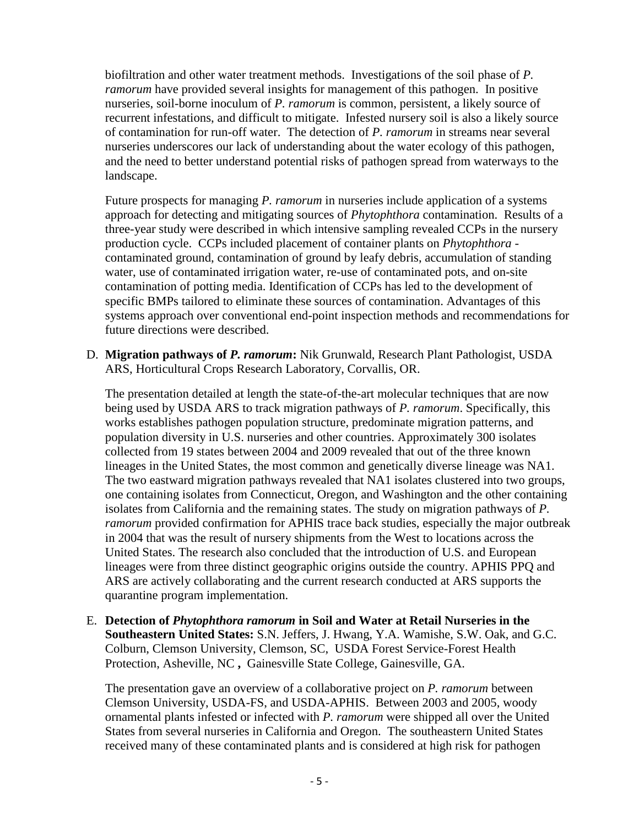biofiltration and other water treatment methods. Investigations of the soil phase of *P. ramorum* have provided several insights for management of this pathogen. In positive nurseries, soil-borne inoculum of *P. ramorum* is common, persistent, a likely source of recurrent infestations, and difficult to mitigate. Infested nursery soil is also a likely source of contamination for run-off water. The detection of *P. ramorum* in streams near several nurseries underscores our lack of understanding about the water ecology of this pathogen, and the need to better understand potential risks of pathogen spread from waterways to the landscape.

Future prospects for managing *P. ramorum* in nurseries include application of a systems approach for detecting and mitigating sources of *Phytophthora* contamination. Results of a three-year study were described in which intensive sampling revealed CCPs in the nursery production cycle. CCPs included placement of container plants on *Phytophthora* contaminated ground, contamination of ground by leafy debris, accumulation of standing water, use of contaminated irrigation water, re-use of contaminated pots, and on-site contamination of potting media. Identification of CCPs has led to the development of specific BMPs tailored to eliminate these sources of contamination. Advantages of this systems approach over conventional end-point inspection methods and recommendations for future directions were described.

D. **Migration pathways of** *P. ramorum***:** Nik Grunwald, Research Plant Pathologist, USDA ARS, Horticultural Crops Research Laboratory, Corvallis, OR.

The presentation detailed at length the state-of-the-art molecular techniques that are now being used by USDA ARS to track migration pathways of *P. ramorum*. Specifically, this works establishes pathogen population structure, predominate migration patterns, and population diversity in U.S. nurseries and other countries. Approximately 300 isolates collected from 19 states between 2004 and 2009 revealed that out of the three known lineages in the United States, the most common and genetically diverse lineage was NA1. The two eastward migration pathways revealed that NA1 isolates clustered into two groups, one containing isolates from Connecticut, Oregon, and Washington and the other containing isolates from California and the remaining states. The study on migration pathways of *P. ramorum* provided confirmation for APHIS trace back studies, especially the major outbreak in 2004 that was the result of nursery shipments from the West to locations across the United States. The research also concluded that the introduction of U.S. and European lineages were from three distinct geographic origins outside the country. APHIS PPQ and ARS are actively collaborating and the current research conducted at ARS supports the quarantine program implementation.

E. **Detection of** *Phytophthora ramorum* **in Soil and Water at Retail Nurseries in the Southeastern United States:** S.N. Jeffers, J. Hwang, Y.A. Wamishe, S.W. Oak, and G.C. Colburn, Clemson University, Clemson, SC, USDA Forest Service-Forest Health Protection, Asheville, NC **,** Gainesville State College, Gainesville, GA.

The presentation gave an overview of a collaborative project on *P. ramorum* between Clemson University, USDA-FS, and USDA-APHIS. Between 2003 and 2005, woody ornamental plants infested or infected with *P. ramorum* were shipped all over the United States from several nurseries in California and Oregon. The southeastern United States received many of these contaminated plants and is considered at high risk for pathogen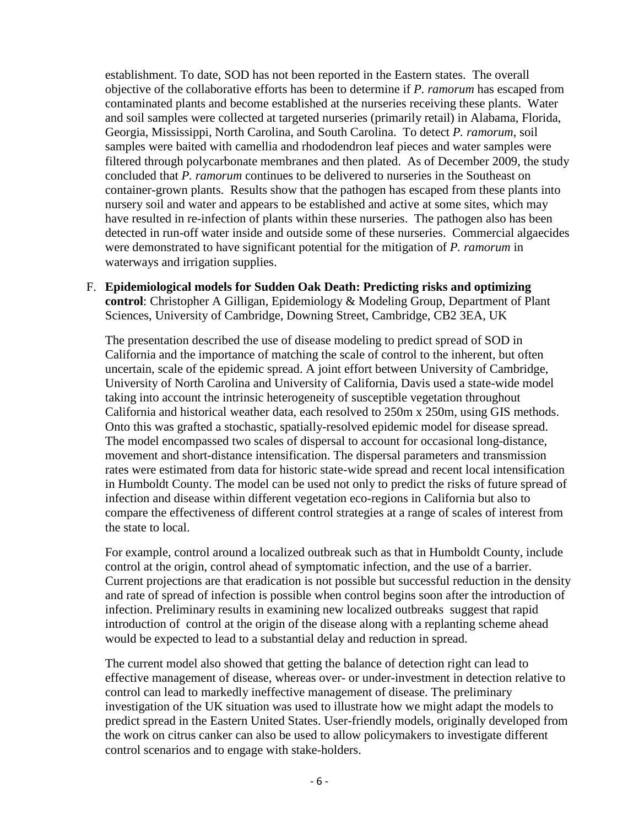establishment. To date, SOD has not been reported in the Eastern states. The overall objective of the collaborative efforts has been to determine if *P. ramorum* has escaped from contaminated plants and become established at the nurseries receiving these plants. Water and soil samples were collected at targeted nurseries (primarily retail) in Alabama, Florida, Georgia, Mississippi, North Carolina, and South Carolina. To detect *P. ramorum*, soil samples were baited with camellia and rhododendron leaf pieces and water samples were filtered through polycarbonate membranes and then plated. As of December 2009, the study concluded that *P. ramorum* continues to be delivered to nurseries in the Southeast on container-grown plants. Results show that the pathogen has escaped from these plants into nursery soil and water and appears to be established and active at some sites, which may have resulted in re-infection of plants within these nurseries. The pathogen also has been detected in run-off water inside and outside some of these nurseries. Commercial algaecides were demonstrated to have significant potential for the mitigation of *P. ramorum* in waterways and irrigation supplies.

#### F. **Epidemiological models for Sudden Oak Death: Predicting risks and optimizing control**: Christopher A Gilligan, Epidemiology & Modeling Group, Department of Plant Sciences, University of Cambridge, Downing Street, Cambridge, CB2 3EA, UK

The presentation described the use of disease modeling to predict spread of SOD in California and the importance of matching the scale of control to the inherent, but often uncertain, scale of the epidemic spread. A joint effort between University of Cambridge, University of North Carolina and University of California, Davis used a state-wide model taking into account the intrinsic heterogeneity of susceptible vegetation throughout California and historical weather data, each resolved to 250m x 250m, using GIS methods. Onto this was grafted a stochastic, spatially-resolved epidemic model for disease spread. The model encompassed two scales of dispersal to account for occasional long-distance, movement and short-distance intensification. The dispersal parameters and transmission rates were estimated from data for historic state-wide spread and recent local intensification in Humboldt County. The model can be used not only to predict the risks of future spread of infection and disease within different vegetation eco-regions in California but also to compare the effectiveness of different control strategies at a range of scales of interest from the state to local.

For example, control around a localized outbreak such as that in Humboldt County, include control at the origin, control ahead of symptomatic infection, and the use of a barrier. Current projections are that eradication is not possible but successful reduction in the density and rate of spread of infection is possible when control begins soon after the introduction of infection. Preliminary results in examining new localized outbreaks suggest that rapid introduction of control at the origin of the disease along with a replanting scheme ahead would be expected to lead to a substantial delay and reduction in spread.

The current model also showed that getting the balance of detection right can lead to effective management of disease, whereas over- or under-investment in detection relative to control can lead to markedly ineffective management of disease. The preliminary investigation of the UK situation was used to illustrate how we might adapt the models to predict spread in the Eastern United States. User-friendly models, originally developed from the work on citrus canker can also be used to allow policymakers to investigate different control scenarios and to engage with stake-holders.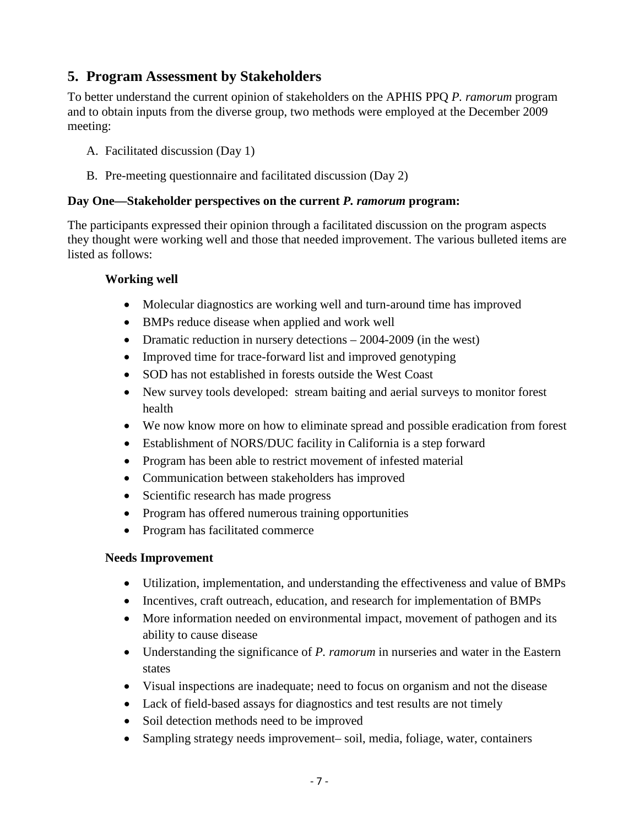# <span id="page-7-0"></span>**5. Program Assessment by Stakeholders**

To better understand the current opinion of stakeholders on the APHIS PPQ *P. ramorum* program and to obtain inputs from the diverse group, two methods were employed at the December 2009 meeting:

- A. Facilitated discussion (Day 1)
- B. Pre-meeting questionnaire and facilitated discussion (Day 2)

#### **Day One—Stakeholder perspectives on the current** *P. ramorum* **program:**

The participants expressed their opinion through a facilitated discussion on the program aspects they thought were working well and those that needed improvement. The various bulleted items are listed as follows:

#### **Working well**

- Molecular diagnostics are working well and turn-around time has improved
- BMPs reduce disease when applied and work well
- Dramatic reduction in nursery detections 2004-2009 (in the west)
- Improved time for trace-forward list and improved genotyping
- SOD has not established in forests outside the West Coast
- New survey tools developed: stream baiting and aerial surveys to monitor forest health
- We now know more on how to eliminate spread and possible eradication from forest
- Establishment of NORS/DUC facility in California is a step forward
- Program has been able to restrict movement of infested material
- Communication between stakeholders has improved
- Scientific research has made progress
- Program has offered numerous training opportunities
- Program has facilitated commerce

#### **Needs Improvement**

- Utilization, implementation, and understanding the effectiveness and value of BMPs
- Incentives, craft outreach, education, and research for implementation of BMPs
- More information needed on environmental impact, movement of pathogen and its ability to cause disease
- Understanding the significance of *P. ramorum* in nurseries and water in the Eastern states
- Visual inspections are inadequate; need to focus on organism and not the disease
- Lack of field-based assays for diagnostics and test results are not timely
- Soil detection methods need to be improved
- Sampling strategy needs improvement– soil, media, foliage, water, containers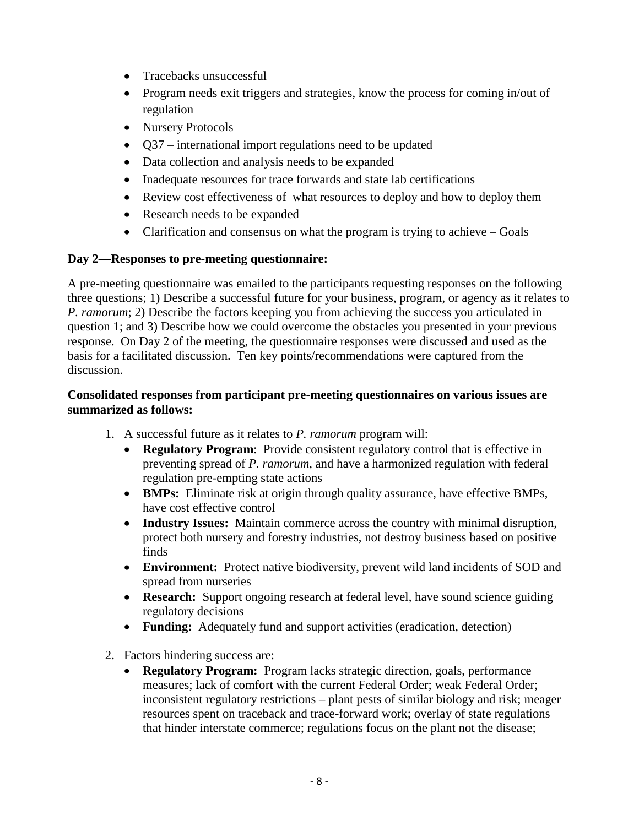- Tracebacks unsuccessful
- Program needs exit triggers and strategies, know the process for coming in/out of regulation
- Nursery Protocols
- Q37 international import regulations need to be updated
- Data collection and analysis needs to be expanded
- Inadequate resources for trace forwards and state lab certifications
- Review cost effectiveness of what resources to deploy and how to deploy them
- Research needs to be expanded
- Clarification and consensus on what the program is trying to achieve Goals

#### **Day 2—Responses to pre-meeting questionnaire:**

A pre-meeting questionnaire was emailed to the participants requesting responses on the following three questions; 1) Describe a successful future for your business, program, or agency as it relates to *P. ramorum*; 2) Describe the factors keeping you from achieving the success you articulated in question 1; and 3) Describe how we could overcome the obstacles you presented in your previous response. On Day 2 of the meeting, the questionnaire responses were discussed and used as the basis for a facilitated discussion. Ten key points/recommendations were captured from the discussion.

#### **Consolidated responses from participant pre-meeting questionnaires on various issues are summarized as follows:**

- 1. A successful future as it relates to *P. ramorum* program will:
	- **Regulatory Program**: Provide consistent regulatory control that is effective in preventing spread of *P. ramorum*, and have a harmonized regulation with federal regulation pre-empting state actions
	- **BMPs:** Eliminate risk at origin through quality assurance, have effective BMPs, have cost effective control
	- **Industry Issues:** Maintain commerce across the country with minimal disruption, protect both nursery and forestry industries, not destroy business based on positive finds
	- **Environment:** Protect native biodiversity, prevent wild land incidents of SOD and spread from nurseries
	- **Research:** Support ongoing research at federal level, have sound science guiding regulatory decisions
	- **Funding:** Adequately fund and support activities (eradication, detection)
- 2. Factors hindering success are:
	- **Regulatory Program:** Program lacks strategic direction, goals, performance measures; lack of comfort with the current Federal Order; weak Federal Order; inconsistent regulatory restrictions – plant pests of similar biology and risk; meager resources spent on traceback and trace-forward work; overlay of state regulations that hinder interstate commerce; regulations focus on the plant not the disease;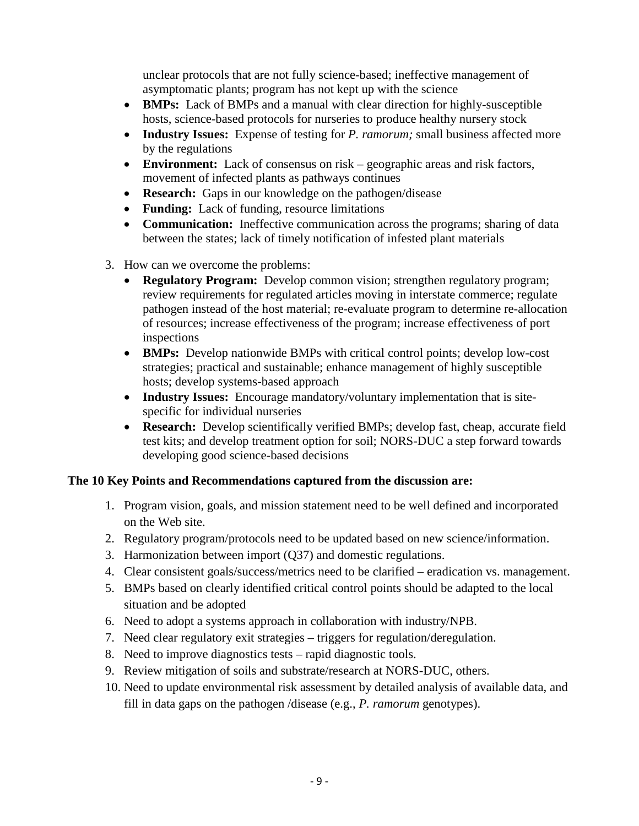unclear protocols that are not fully science-based; ineffective management of asymptomatic plants; program has not kept up with the science

- **BMPs:** Lack of BMPs and a manual with clear direction for highly-susceptible hosts, science-based protocols for nurseries to produce healthy nursery stock
- **Industry Issues:** Expense of testing for *P. ramorum;* small business affected more by the regulations
- **Environment:** Lack of consensus on risk geographic areas and risk factors, movement of infected plants as pathways continues
- **Research:** Gaps in our knowledge on the pathogen/disease
- **Funding:** Lack of funding, resource limitations
- **Communication:** Ineffective communication across the programs; sharing of data between the states; lack of timely notification of infested plant materials
- 3. How can we overcome the problems:
	- **Regulatory Program:** Develop common vision; strengthen regulatory program; review requirements for regulated articles moving in interstate commerce; regulate pathogen instead of the host material; re-evaluate program to determine re-allocation of resources; increase effectiveness of the program; increase effectiveness of port inspections
	- **BMPs:** Develop nationwide BMPs with critical control points; develop low-cost strategies; practical and sustainable; enhance management of highly susceptible hosts; develop systems-based approach
	- **Industry Issues:** Encourage mandatory/voluntary implementation that is sitespecific for individual nurseries
	- **Research:** Develop scientifically verified BMPs; develop fast, cheap, accurate field test kits; and develop treatment option for soil; NORS-DUC a step forward towards developing good science-based decisions

#### **The 10 Key Points and Recommendations captured from the discussion are:**

- 1. Program vision, goals, and mission statement need to be well defined and incorporated on the Web site.
- 2. Regulatory program/protocols need to be updated based on new science/information.
- 3. Harmonization between import (Q37) and domestic regulations.
- 4. Clear consistent goals/success/metrics need to be clarified eradication vs. management.
- 5. BMPs based on clearly identified critical control points should be adapted to the local situation and be adopted
- 6. Need to adopt a systems approach in collaboration with industry/NPB.
- 7. Need clear regulatory exit strategies triggers for regulation/deregulation.
- 8. Need to improve diagnostics tests rapid diagnostic tools.
- 9. Review mitigation of soils and substrate/research at NORS-DUC, others.
- 10. Need to update environmental risk assessment by detailed analysis of available data, and fill in data gaps on the pathogen /disease (e.g., *P. ramorum* genotypes).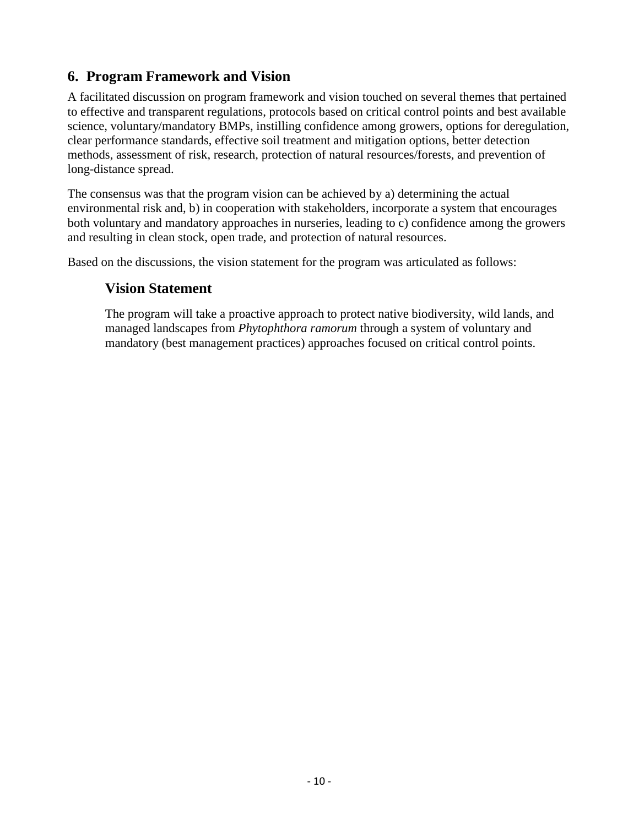# <span id="page-10-0"></span>**6. Program Framework and Vision**

A facilitated discussion on program framework and vision touched on several themes that pertained to effective and transparent regulations, protocols based on critical control points and best available science, voluntary/mandatory BMPs, instilling confidence among growers, options for deregulation, clear performance standards, effective soil treatment and mitigation options, better detection methods, assessment of risk, research, protection of natural resources/forests, and prevention of long-distance spread.

The consensus was that the program vision can be achieved by a) determining the actual environmental risk and, b) in cooperation with stakeholders, incorporate a system that encourages both voluntary and mandatory approaches in nurseries, leading to c) confidence among the growers and resulting in clean stock, open trade, and protection of natural resources.

Based on the discussions, the vision statement for the program was articulated as follows:

## **Vision Statement**

The program will take a proactive approach to protect native biodiversity, wild lands, and managed landscapes from *Phytophthora ramorum* through a system of voluntary and mandatory (best management practices) approaches focused on critical control points.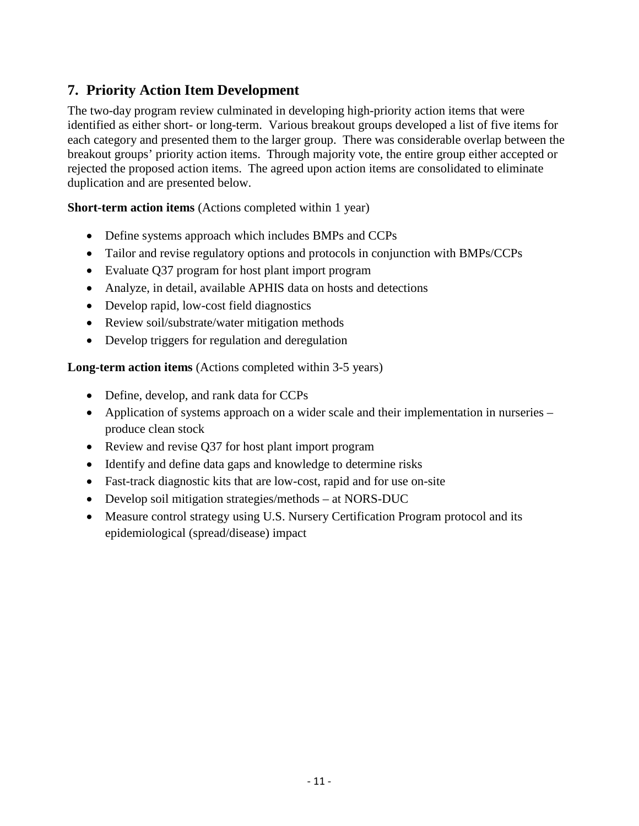# <span id="page-11-0"></span>**7. Priority Action Item Development**

The two-day program review culminated in developing high-priority action items that were identified as either short- or long-term. Various breakout groups developed a list of five items for each category and presented them to the larger group. There was considerable overlap between the breakout groups' priority action items. Through majority vote, the entire group either accepted or rejected the proposed action items. The agreed upon action items are consolidated to eliminate duplication and are presented below.

#### **Short-term action items** (Actions completed within 1 year)

- Define systems approach which includes BMPs and CCPs
- Tailor and revise regulatory options and protocols in conjunction with BMPs/CCPs
- Evaluate Q37 program for host plant import program
- Analyze, in detail, available APHIS data on hosts and detections
- Develop rapid, low-cost field diagnostics
- Review soil/substrate/water mitigation methods
- Develop triggers for regulation and deregulation

**Long-term action items** (Actions completed within 3-5 years)

- Define, develop, and rank data for CCPs
- Application of systems approach on a wider scale and their implementation in nurseries produce clean stock
- Review and revise Q37 for host plant import program
- Identify and define data gaps and knowledge to determine risks
- Fast-track diagnostic kits that are low-cost, rapid and for use on-site
- Develop soil mitigation strategies/methods at NORS-DUC
- Measure control strategy using U.S. Nursery Certification Program protocol and its epidemiological (spread/disease) impact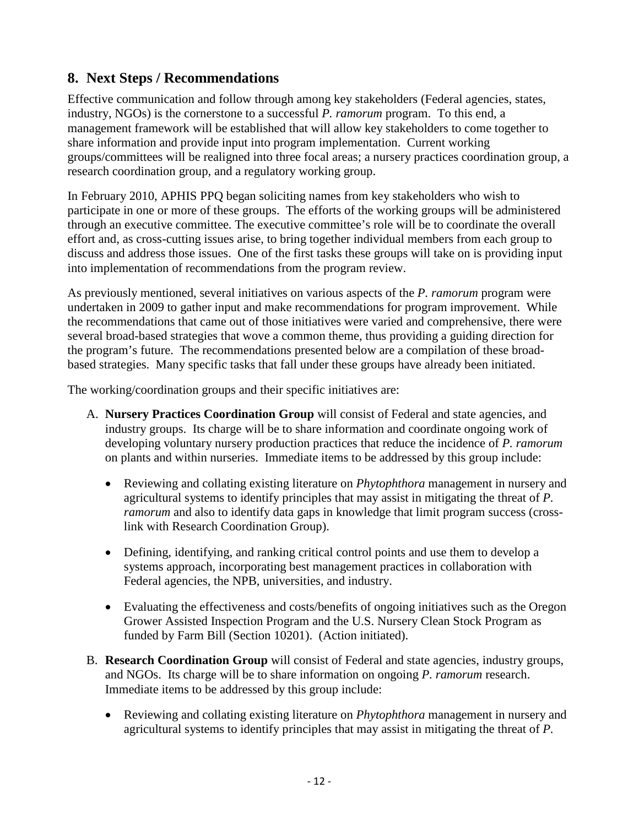# <span id="page-12-0"></span>**8. Next Steps / Recommendations**

Effective communication and follow through among key stakeholders (Federal agencies, states, industry, NGOs) is the cornerstone to a successful *P. ramorum* program. To this end, a management framework will be established that will allow key stakeholders to come together to share information and provide input into program implementation. Current working groups/committees will be realigned into three focal areas; a nursery practices coordination group, a research coordination group, and a regulatory working group.

In February 2010, APHIS PPQ began soliciting names from key stakeholders who wish to participate in one or more of these groups. The efforts of the working groups will be administered through an executive committee. The executive committee's role will be to coordinate the overall effort and, as cross-cutting issues arise, to bring together individual members from each group to discuss and address those issues. One of the first tasks these groups will take on is providing input into implementation of recommendations from the program review.

As previously mentioned, several initiatives on various aspects of the *P. ramorum* program were undertaken in 2009 to gather input and make recommendations for program improvement. While the recommendations that came out of those initiatives were varied and comprehensive, there were several broad-based strategies that wove a common theme, thus providing a guiding direction for the program's future. The recommendations presented below are a compilation of these broadbased strategies. Many specific tasks that fall under these groups have already been initiated.

The working/coordination groups and their specific initiatives are:

- A. **Nursery Practices Coordination Group** will consist of Federal and state agencies, and industry groups. Its charge will be to share information and coordinate ongoing work of developing voluntary nursery production practices that reduce the incidence of *P. ramorum* on plants and within nurseries. Immediate items to be addressed by this group include:
	- Reviewing and collating existing literature on *Phytophthora* management in nursery and agricultural systems to identify principles that may assist in mitigating the threat of *P. ramorum* and also to identify data gaps in knowledge that limit program success (crosslink with Research Coordination Group).
	- Defining, identifying, and ranking critical control points and use them to develop a systems approach, incorporating best management practices in collaboration with Federal agencies, the NPB, universities, and industry.
	- Evaluating the effectiveness and costs/benefits of ongoing initiatives such as the Oregon Grower Assisted Inspection Program and the U.S. Nursery Clean Stock Program as funded by Farm Bill (Section 10201). (Action initiated).
- B. **Research Coordination Group** will consist of Federal and state agencies, industry groups, and NGOs. Its charge will be to share information on ongoing *P. ramorum* research. Immediate items to be addressed by this group include:
	- Reviewing and collating existing literature on *Phytophthora* management in nursery and agricultural systems to identify principles that may assist in mitigating the threat of *P.*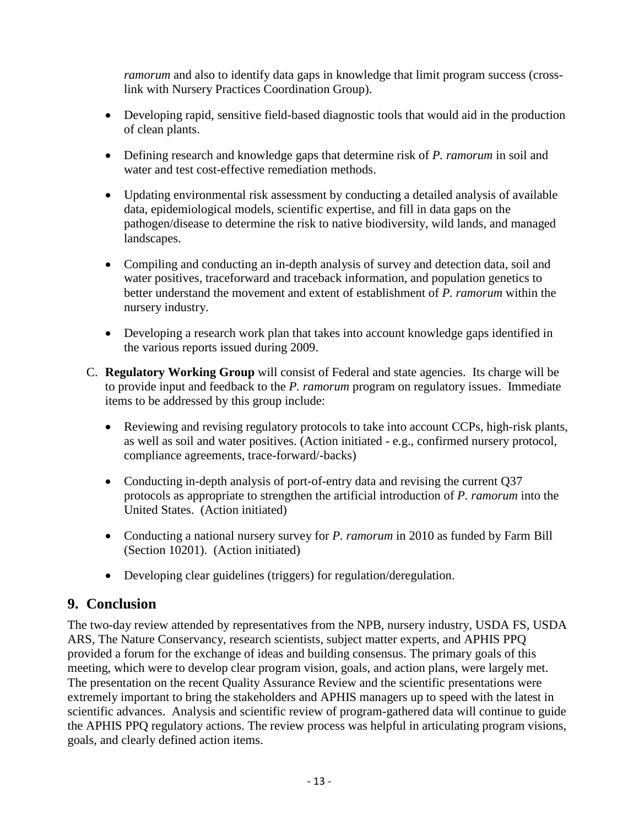*ramorum* and also to identify data gaps in knowledge that limit program success (crosslink with Nursery Practices Coordination Group).

- Developing rapid, sensitive field-based diagnostic tools that would aid in the production of clean plants.
- Defining research and knowledge gaps that determine risk of *P. ramorum* in soil and water and test cost-effective remediation methods.
- Updating environmental risk assessment by conducting a detailed analysis of available data, epidemiological models, scientific expertise, and fill in data gaps on the pathogen/disease to determine the risk to native biodiversity, wild lands, and managed landscapes.
- Compiling and conducting an in-depth analysis of survey and detection data, soil and water positives, traceforward and traceback information, and population genetics to better understand the movement and extent of establishment of *P. ramorum* within the nursery industry.
- Developing a research work plan that takes into account knowledge gaps identified in the various reports issued during 2009.
- C. **Regulatory Working Group** will consist of Federal and state agencies. Its charge will be to provide input and feedback to the *P. ramorum* program on regulatory issues. Immediate items to be addressed by this group include:
	- Reviewing and revising regulatory protocols to take into account CCPs, high-risk plants, as well as soil and water positives. (Action initiated - e.g., confirmed nursery protocol, compliance agreements, trace-forward/-backs)
	- Conducting in-depth analysis of port-of-entry data and revising the current Q37 protocols as appropriate to strengthen the artificial introduction of *P. ramorum* into the United States. (Action initiated)
	- Conducting a national nursery survey for *P. ramorum* in 2010 as funded by Farm Bill (Section 10201). (Action initiated)
	- Developing clear guidelines (triggers) for regulation/deregulation.

## <span id="page-13-0"></span>**9. Conclusion**

The two-day review attended by representatives from the NPB, nursery industry, USDA FS, USDA ARS, The Nature Conservancy, research scientists, subject matter experts, and APHIS PPQ provided a forum for the exchange of ideas and building consensus. The primary goals of this meeting, which were to develop clear program vision, goals, and action plans, were largely met. The presentation on the recent Quality Assurance Review and the scientific presentations were extremely important to bring the stakeholders and APHIS managers up to speed with the latest in scientific advances. Analysis and scientific review of program-gathered data will continue to guide the APHIS PPQ regulatory actions. The review process was helpful in articulating program visions, goals, and clearly defined action items.